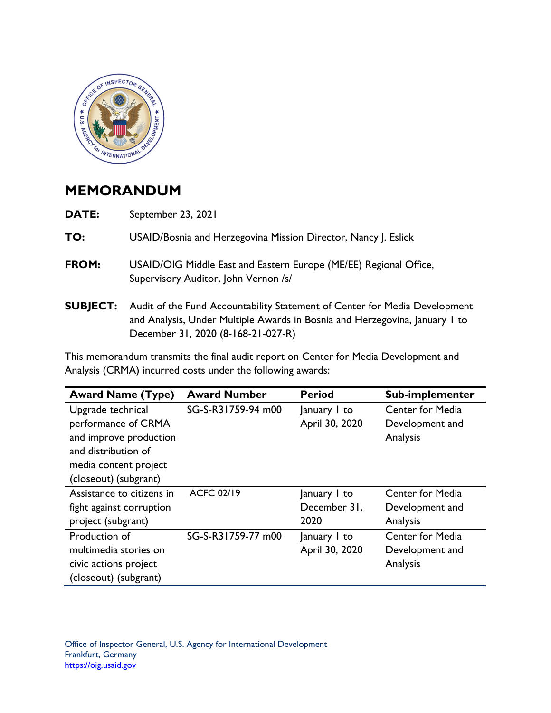

## **MEMORANDUM**

| DATE:           | September 23, 2021                                                                                                                                                                              |
|-----------------|-------------------------------------------------------------------------------------------------------------------------------------------------------------------------------------------------|
| TO:             | USAID/Bosnia and Herzegovina Mission Director, Nancy J. Eslick                                                                                                                                  |
| FROM:           | USAID/OIG Middle East and Eastern Europe (ME/EE) Regional Office,<br>Supervisory Auditor, John Vernon /s/                                                                                       |
| <b>SUBJECT:</b> | Audit of the Fund Accountability Statement of Center for Media Development<br>and Analysis, Under Multiple Awards in Bosnia and Herzegovina, January 1 to<br>December 31, 2020 (8-168-21-027-R) |

 This memorandum transmits the final audit report on Center for Media Development and Analysis (CRMA) incurred costs under the following awards:

| <b>Award Name (Type)</b>  | <b>Award Number</b> | <b>Period</b>  | Sub-implementer         |
|---------------------------|---------------------|----------------|-------------------------|
| Upgrade technical         | SG-S-R31759-94 m00  | January I to   | <b>Center for Media</b> |
| performance of CRMA       |                     | April 30, 2020 | Development and         |
| and improve production    |                     |                | Analysis                |
| and distribution of       |                     |                |                         |
| media content project     |                     |                |                         |
| (closeout) (subgrant)     |                     |                |                         |
| Assistance to citizens in | <b>ACFC 02/19</b>   | January I to   | <b>Center for Media</b> |
| fight against corruption  |                     | December 31,   | Development and         |
| project (subgrant)        |                     | 2020           | Analysis                |
| Production of             | SG-S-R31759-77 m00  | January I to   | <b>Center for Media</b> |
| multimedia stories on     |                     | April 30, 2020 | Development and         |
| civic actions project     |                     |                | Analysis                |
| (closeout) (subgrant)     |                     |                |                         |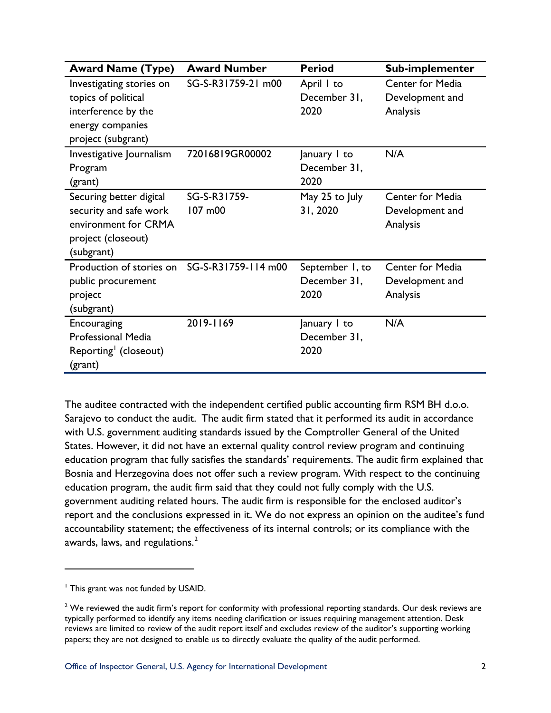| <b>Award Name (Type)</b>                                                                                         | <b>Award Number</b>     | <b>Period</b>                           | Sub-implementer                                        |
|------------------------------------------------------------------------------------------------------------------|-------------------------|-----------------------------------------|--------------------------------------------------------|
| Investigating stories on<br>topics of political<br>interference by the<br>energy companies<br>project (subgrant) | SG-S-R31759-21 m00      | April I to<br>December 31,<br>2020      | Center for Media<br>Development and<br>Analysis        |
| Investigative Journalism<br>Program<br>(grant)                                                                   | 72016819GR00002         | January I to<br>December 31,<br>2020    | N/A                                                    |
| Securing better digital<br>security and safe work<br>environment for CRMA<br>project (closeout)<br>(subgrant)    | SG-S-R31759-<br>107 m00 | May 25 to July<br>31, 2020              | <b>Center for Media</b><br>Development and<br>Analysis |
| Production of stories on<br>public procurement<br>project<br>(subgrant)                                          | SG-S-R31759-114 m00     | September 1, to<br>December 31,<br>2020 | <b>Center for Media</b><br>Development and<br>Analysis |
| Encouraging<br><b>Professional Media</b><br>Reporting (closeout)<br>(grant)                                      | 2019-1169               | January I to<br>December 31,<br>2020    | N/A                                                    |

 The auditee contracted with the independent certified public accounting firm RSM BH d.o.o. Sarajevo to conduct the audit. The audit firm stated that it performed its audit in accordance States. However, it did not have an external quality control review program and continuing Bosnia and Herzegovina does not offer such a review program. With respect to the continuing awards, laws, and regulations. $^2$ with U.S. government auditing standards issued by the Comptroller General of the United education program that fully satisfies the standards' requirements. The audit firm explained that education program, the audit firm said that they could not fully comply with the U.S. government auditing related hours. The audit firm is responsible for the enclosed auditor's report and the conclusions expressed in it. We do not express an opinion on the auditee's fund accountability statement; the effectiveness of its internal controls; or its compliance with the

<span id="page-1-0"></span><sup>&</sup>lt;sup>1</sup> This grant was not funded by USAID.

<span id="page-1-1"></span> $^2$  We reviewed the audit firm's report for conformity with professional reporting standards. Our desk reviews are typically performed to identify any items needing clarification or issues requiring management attention. Desk reviews are limited to review of the audit report itself and excludes review of the auditor's supporting working papers; they are not designed to enable us to directly evaluate the quality of the audit performed.